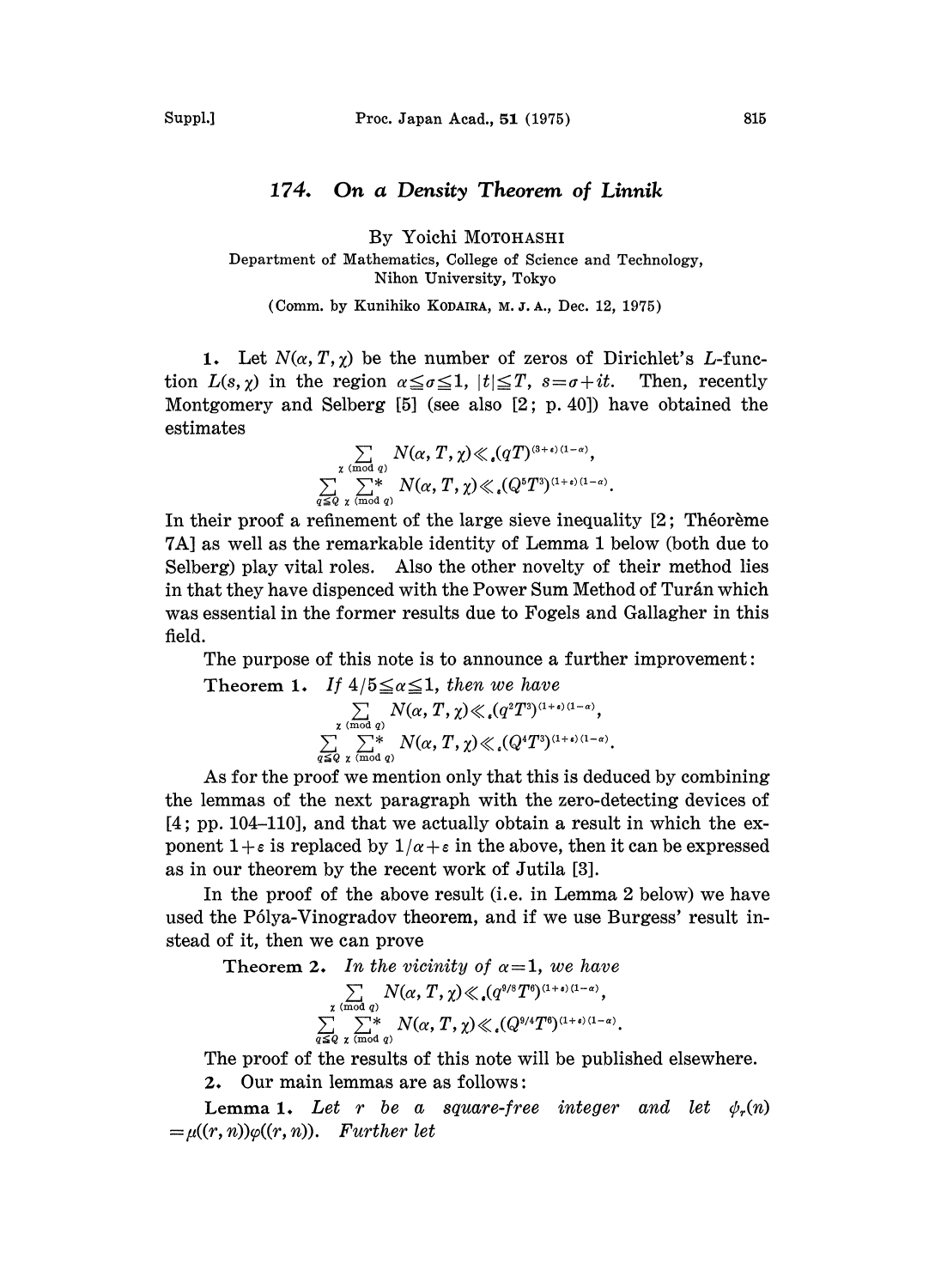## 174. On a Density Theorem of Linnik

By Yoichi MOTOHASHI

Department of Mathematics, College of Science and Technology, Nihon University, Tokyo

(Comm. by Kunihiko KODAIRA, M.J.A., Dec. 12, 1975)

1. Let  $N(\alpha, T, \gamma)$  be the number of zeros of Dirichlet's L-function  $L(s, \gamma)$  in the region  $\alpha \leq \alpha \leq 1$ ,  $|t| \leq T$ ,  $s = \sigma + it$ . Then, recently Montgomery and Selberg [5] (see also [2; p. 40]) have obtained the estimates

$$
\sum_{\substack{\chi \pmod{q} \\ q \leq Q}} N(\alpha, T, \chi) \ll_{\epsilon}(qT)^{(3+\epsilon)(1-\alpha)},
$$
  

$$
\sum_{q \leq Q} \sum_{\chi \pmod{q}}^* N(\alpha, T, \chi) \ll_{\epsilon}(Q^5T^3)^{(1+\epsilon)(1-\alpha)}.
$$

In their proof a refinement of the large sieve inequality  $[2;$  Théorème 7A] as well as the remarkable identity of Lemma <sup>1</sup> below (both due to Selberg) play vital roles. Also the other novelty of their method lies in that they have dispenced with the Power Sum Method of Turán which was essential in the former results due to Fogels and Gallagher in this field.

The purpose of this note is to announce a further improvement:

Theorem 1. If  $4/5 \le \alpha \le 1$ , then we have  $\sum_{\substack{\chi \pmod q \\ \chi \equiv \log Q}} N(\alpha, T, \chi) \ll (q^2 T^{3})^{(1+s)(1-\alpha)},$ <br> $\sum_{q \leq Q} \sum_{\chi \pmod q}^{\chi} N(\alpha, T, \chi) \ll (Q^4 T^{3})^{(1+s)(1-\alpha)}.$ 

As for the proof we mention only that this is deduced by combining the lemmas of the next paragraph with the zero-detecting devices of [4; pp. 104-110], and that we actually obtain a result in which the exponent  $1+\varepsilon$  is replaced by  $1/\alpha+\varepsilon$  in the above, then it can be expressed as in our theorem by the recent work of Jutila [3].

In the proof of the above result (i.e. in Lemma 2 below) we have used the P61ya-Vinogradov theorem, and if we use Burgess' result instead of it, then we can prove

Theorem 2. In the vicinity of  $\alpha = 1$ , we have  $\sum_{\substack{\chi \pmod{q} \\ \chi \equiv \zeta \pmod{q}}} N(\alpha, T, \chi) \ll_{\epsilon} (q^{9/8}T^6)^{(1+\epsilon)(1-\alpha)},$ <br>  $\sum_{q \leq Q} \sum_{\chi \pmod{q}}^* N(\alpha, T, \chi) \ll_{\epsilon} (Q^{9/4}T^6)^{(1+\epsilon)(1-\alpha)}.$ 

The proof of the results of this note will be published elsewhere.

2. Our main lemmas are as follows:

**Lemma 1.** Let r be a square-free integer and let  $\phi_r(n)$  $=\mu((r, n))\varphi((r, n)).$  Further let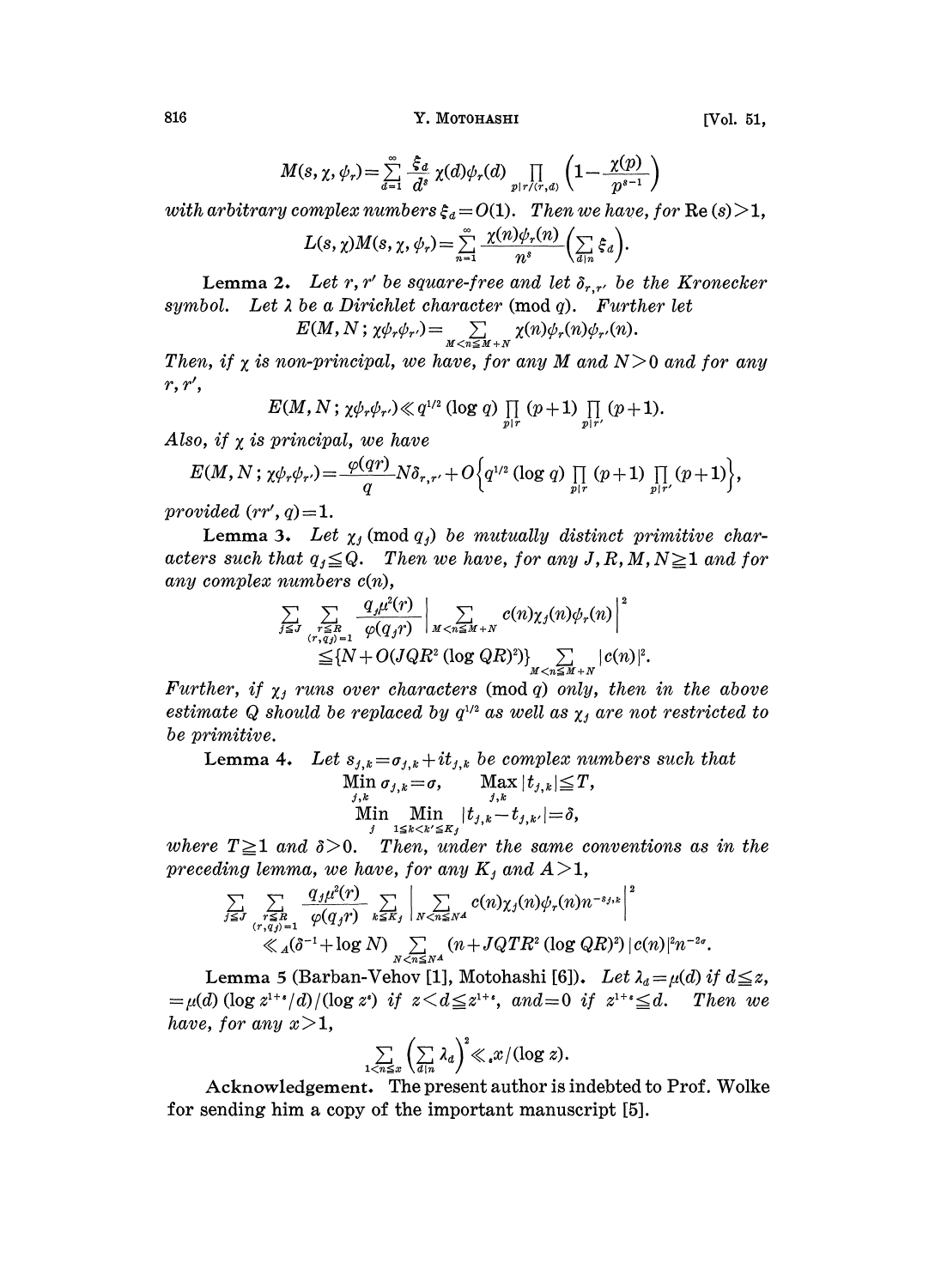816 **Y. MOTOHASHI** [Vol. 51,

$$
M(s,\chi,\psi_r) = \sum_{d=1}^{\infty} \frac{\xi_d}{d^s} \chi(d)\psi_r(d) \prod_{p \mid r/(r,d)} \left(1 - \frac{\chi(p)}{p^{s-1}}\right)
$$

with arbitrary complex numbers  $\xi_d = O(1)$ . Then we have, for  $\text{Re}(s) > 1$ ,

$$
L(s, \chi)M(s, \chi, \phi_r) = \sum_{n=1}^{\infty} \frac{\chi(n)\phi_r(n)}{n^s} \left(\sum_{d|n} \xi_d\right).
$$
  
Lemma 2. Let  $r, r'$  be square-free and let  $\delta_{r,r'}$  be the Kronecker

symbol. Let  $\lambda$  be a Dirichlet character (mod q). Further let

$$
E(M, N; \chi \phi_r \phi_{r'}) = \sum_{M < n \leq M + N} \chi(n) \phi_r(n) \phi_{r'}(n).
$$

Then, if  $\chi$  is non-principal, we have, for any M and  $N>0$  and for any  $r, r'$ ,

$$
E(M, N; \chi \phi_r \phi_{r'}) \ll q^{1/2} (\log q) \prod_{p|r} (p+1) \prod_{p|r'} (p+1).
$$

Also, if  $\chi$  is principal, we have

$$
E(M, N; \chi \phi_r \phi_{r'}) = \frac{\varphi(qr)}{q} N \delta_{r,r'} + O\Big\{q^{1/2} (\log q) \prod_{p \mid r} (p+1) \prod_{p \mid r'} (p+1) \Big\},\,
$$

provided  $(rr', q) = 1$ .

**Lemma 3.** Let  $\chi_j \pmod{q_j}$  be mutually distinct primitive characters such that  $q_j \leq Q$ . Then we have, for any J, R, M, N  $\geq 1$  and for any complex numbers c(n),

$$
\sum_{j\leq J}\sum_{\substack{r\leq R\\(r,q_j)=1}}\frac{q_j\mu^2(r)}{\varphi(q_jr)}\bigg|_{M< n\leq M+N}c(n)\chi_j(n)\varphi_r(n)\bigg|^2\\ \leq \{N+O(JQR^2 (\log QR)^2)\}\sum_{M< n\leq M+N}|c(n)|^2
$$

Further, if  $\chi_j$  runs over characters (mod q) only, then in the above estimate Q should be replaced by  $q^{1/2}$  as well as  $\chi_j$  are not restricted to be primitive.

**Lemma 4.** Let  $s_{j,k} = \sigma_{j,k} + it_{j,k}$  be complex numbers such that  $\min_{j,k} \sigma_{j,k} = \sigma, \qquad \max_{j,k} |t_{j,k}| \leq T, \ \min_{j} \min_{1 \leq k < k' \leq K_j} |t_{j,k} - t_{j,k'}| = \delta,$ 

where  $T \geq 1$  and  $\delta > 0$ . Then, under the same conventions as in the preceding lemma, we have, for any  $K_j$  and  $A > 1$ ,

$$
\sum_{j\leq J}\sum_{\substack{r\leq R\\(r,q_j)=1}}\frac{q_{j}\mu^{2}(r)}{\varphi(q_{j}r)}\sum_{k\leq K_{j}}\Big|\sum_{N
$$

Lemma 5 (Barban-Vehov [1], Motohashi [6]). Let  $\lambda_d = \mu(d)$  if  $d \leq z$ ,  $=\mu(d) \left(\log z^{1+\epsilon}/d\right) / (\log z^*)$  if  $z < d \leq z^{1+\epsilon}$ , and  $= 0$  if  $z^{1+\epsilon} \leq d$ . Then we have, for any  $x > 1$ ,

$$
\sum_{1
$$

Acknowledgement. The present author is indebted to Prof. Wolke for sending him a copy of the important manuscript [5].